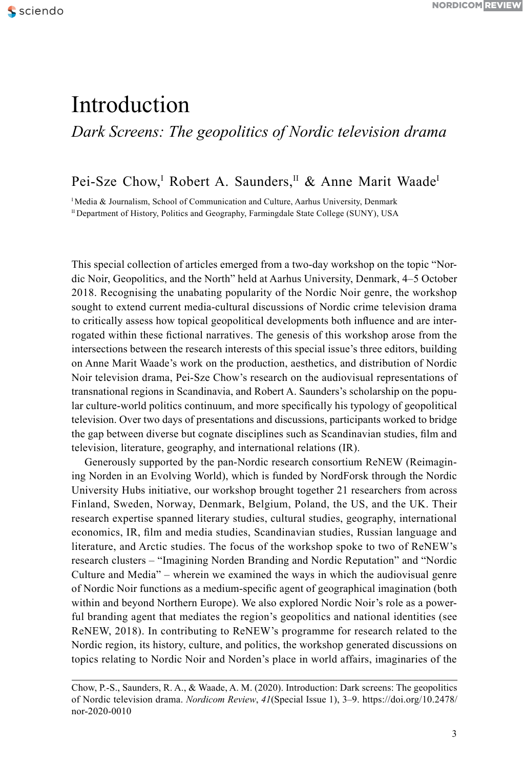# Introduction

*Dark Screens: The geopolitics of Nordic television drama*

## Pei-Sze Chow,<sup>I</sup> Robert A. Saunders,<sup>II</sup> & Anne Marit Waade<sup>I</sup>

<sup>I</sup> Media & Journalism, School of Communication and Culture, Aarhus University, Denmark II Department of History, Politics and Geography, Farmingdale State College (SUNY), USA

This special collection of articles emerged from a two-day workshop on the topic "Nordic Noir, Geopolitics, and the North" held at Aarhus University, Denmark, 4–5 October 2018. Recognising the unabating popularity of the Nordic Noir genre, the workshop sought to extend current media-cultural discussions of Nordic crime television drama to critically assess how topical geopolitical developments both influence and are interrogated within these fictional narratives. The genesis of this workshop arose from the intersections between the research interests of this special issue's three editors, building on Anne Marit Waade's work on the production, aesthetics, and distribution of Nordic Noir television drama, Pei-Sze Chow's research on the audiovisual representations of transnational regions in Scandinavia, and Robert A. Saunders's scholarship on the popular culture-world politics continuum, and more specifically his typology of geopolitical television. Over two days of presentations and discussions, participants worked to bridge the gap between diverse but cognate disciplines such as Scandinavian studies, film and television, literature, geography, and international relations (IR).

Generously supported by the pan-Nordic research consortium ReNEW (Reimagining Norden in an Evolving World), which is funded by NordForsk through the Nordic University Hubs initiative, our workshop brought together 21 researchers from across Finland, Sweden, Norway, Denmark, Belgium, Poland, the US, and the UK. Their research expertise spanned literary studies, cultural studies, geography, international economics, IR, film and media studies, Scandinavian studies, Russian language and literature, and Arctic studies. The focus of the workshop spoke to two of ReNEW's research clusters – "Imagining Norden Branding and Nordic Reputation" and "Nordic Culture and Media" – wherein we examined the ways in which the audiovisual genre of Nordic Noir functions as a medium-specific agent of geographical imagination (both within and beyond Northern Europe). We also explored Nordic Noir's role as a powerful branding agent that mediates the region's geopolitics and national identities (see ReNEW, 2018). In contributing to ReNEW's programme for research related to the Nordic region, its history, culture, and politics, the workshop generated discussions on topics relating to Nordic Noir and Norden's place in world affairs, imaginaries of the

Chow, P.-S., Saunders, R. A., & Waade, A. M. (2020). Introduction: Dark screens: The geopolitics of Nordic television drama. *Nordicom Review*, *41*(Special Issue 1), 3–9. https://doi.org/10.2478/ nor-2020-0010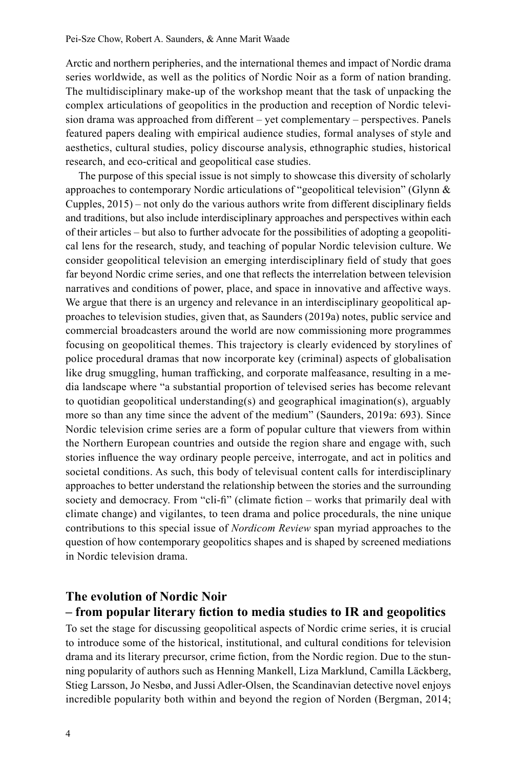Arctic and northern peripheries, and the international themes and impact of Nordic drama series worldwide, as well as the politics of Nordic Noir as a form of nation branding. The multidisciplinary make-up of the workshop meant that the task of unpacking the complex articulations of geopolitics in the production and reception of Nordic television drama was approached from different – yet complementary – perspectives. Panels featured papers dealing with empirical audience studies, formal analyses of style and aesthetics, cultural studies, policy discourse analysis, ethnographic studies, historical research, and eco-critical and geopolitical case studies.

The purpose of this special issue is not simply to showcase this diversity of scholarly approaches to contemporary Nordic articulations of "geopolitical television" (Glynn & Cupples, 2015) – not only do the various authors write from different disciplinary fields and traditions, but also include interdisciplinary approaches and perspectives within each of their articles – but also to further advocate for the possibilities of adopting a geopolitical lens for the research, study, and teaching of popular Nordic television culture. We consider geopolitical television an emerging interdisciplinary field of study that goes far beyond Nordic crime series, and one that reflects the interrelation between television narratives and conditions of power, place, and space in innovative and affective ways. We argue that there is an urgency and relevance in an interdisciplinary geopolitical approaches to television studies, given that, as Saunders (2019a) notes, public service and commercial broadcasters around the world are now commissioning more programmes focusing on geopolitical themes. This trajectory is clearly evidenced by storylines of police procedural dramas that now incorporate key (criminal) aspects of globalisation like drug smuggling, human trafficking, and corporate malfeasance, resulting in a media landscape where "a substantial proportion of televised series has become relevant to quotidian geopolitical understanding(s) and geographical imagination(s), arguably more so than any time since the advent of the medium" (Saunders, 2019a: 693). Since Nordic television crime series are a form of popular culture that viewers from within the Northern European countries and outside the region share and engage with, such stories influence the way ordinary people perceive, interrogate, and act in politics and societal conditions. As such, this body of televisual content calls for interdisciplinary approaches to better understand the relationship between the stories and the surrounding society and democracy. From "cli-fi" (climate fiction – works that primarily deal with climate change) and vigilantes, to teen drama and police procedurals, the nine unique contributions to this special issue of *Nordicom Review* span myriad approaches to the question of how contemporary geopolitics shapes and is shaped by screened mediations in Nordic television drama.

### **The evolution of Nordic Noir – from popular literary fiction to media studies to IR and geopolitics**

To set the stage for discussing geopolitical aspects of Nordic crime series, it is crucial to introduce some of the historical, institutional, and cultural conditions for television drama and its literary precursor, crime fiction, from the Nordic region. Due to the stunning popularity of authors such as Henning Mankell, Liza Marklund, Camilla Läckberg, Stieg Larsson, Jo Nesbø, and Jussi Adler-Olsen, the Scandinavian detective novel enjoys incredible popularity both within and beyond the region of Norden (Bergman, 2014;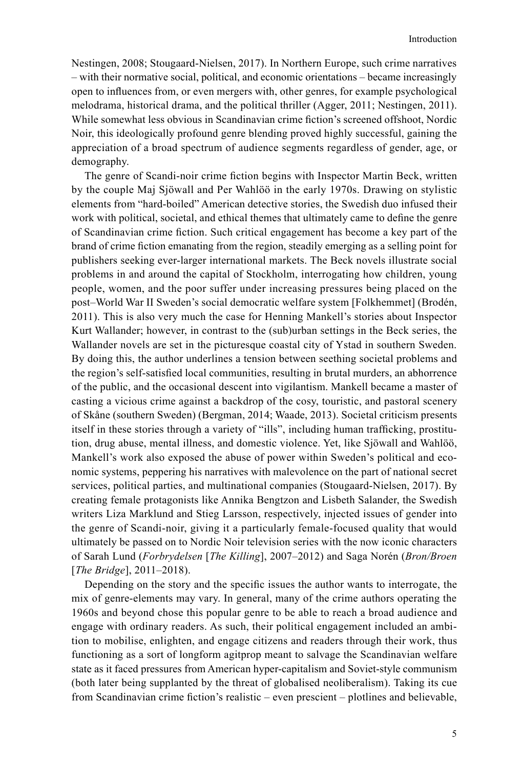Nestingen, 2008; Stougaard-Nielsen, 2017). In Northern Europe, such crime narratives – with their normative social, political, and economic orientations – became increasingly open to influences from, or even mergers with, other genres, for example psychological melodrama, historical drama, and the political thriller (Agger, 2011; Nestingen, 2011). While somewhat less obvious in Scandinavian crime fiction's screened offshoot, Nordic Noir, this ideologically profound genre blending proved highly successful, gaining the appreciation of a broad spectrum of audience segments regardless of gender, age, or demography.

The genre of Scandi-noir crime fiction begins with Inspector Martin Beck, written by the couple Maj Sjöwall and Per Wahlöö in the early 1970s. Drawing on stylistic elements from "hard-boiled" American detective stories, the Swedish duo infused their work with political, societal, and ethical themes that ultimately came to define the genre of Scandinavian crime fiction. Such critical engagement has become a key part of the brand of crime fiction emanating from the region, steadily emerging as a selling point for publishers seeking ever-larger international markets. The Beck novels illustrate social problems in and around the capital of Stockholm, interrogating how children, young people, women, and the poor suffer under increasing pressures being placed on the post–World War II Sweden's social democratic welfare system [Folkhemmet] (Brodén, 2011). This is also very much the case for Henning Mankell's stories about Inspector Kurt Wallander; however, in contrast to the (sub)urban settings in the Beck series, the Wallander novels are set in the picturesque coastal city of Ystad in southern Sweden. By doing this, the author underlines a tension between seething societal problems and the region's self-satisfied local communities, resulting in brutal murders, an abhorrence of the public, and the occasional descent into vigilantism. Mankell became a master of casting a vicious crime against a backdrop of the cosy, touristic, and pastoral scenery of Skåne (southern Sweden) (Bergman, 2014; Waade, 2013). Societal criticism presents itself in these stories through a variety of "ills", including human trafficking, prostitution, drug abuse, mental illness, and domestic violence. Yet, like Sjöwall and Wahlöö, Mankell's work also exposed the abuse of power within Sweden's political and economic systems, peppering his narratives with malevolence on the part of national secret services, political parties, and multinational companies (Stougaard-Nielsen, 2017). By creating female protagonists like Annika Bengtzon and Lisbeth Salander, the Swedish writers Liza Marklund and Stieg Larsson, respectively, injected issues of gender into the genre of Scandi-noir, giving it a particularly female-focused quality that would ultimately be passed on to Nordic Noir television series with the now iconic characters of Sarah Lund (*Forbrydelsen* [*The Killing*], 2007–2012) and Saga Norén (*Bron/Broen*  [*The Bridge*], 2011–2018).

Depending on the story and the specific issues the author wants to interrogate, the mix of genre-elements may vary. In general, many of the crime authors operating the 1960s and beyond chose this popular genre to be able to reach a broad audience and engage with ordinary readers. As such, their political engagement included an ambition to mobilise, enlighten, and engage citizens and readers through their work, thus functioning as a sort of longform agitprop meant to salvage the Scandinavian welfare state as it faced pressures from American hyper-capitalism and Soviet-style communism (both later being supplanted by the threat of globalised neoliberalism). Taking its cue from Scandinavian crime fiction's realistic – even prescient – plotlines and believable,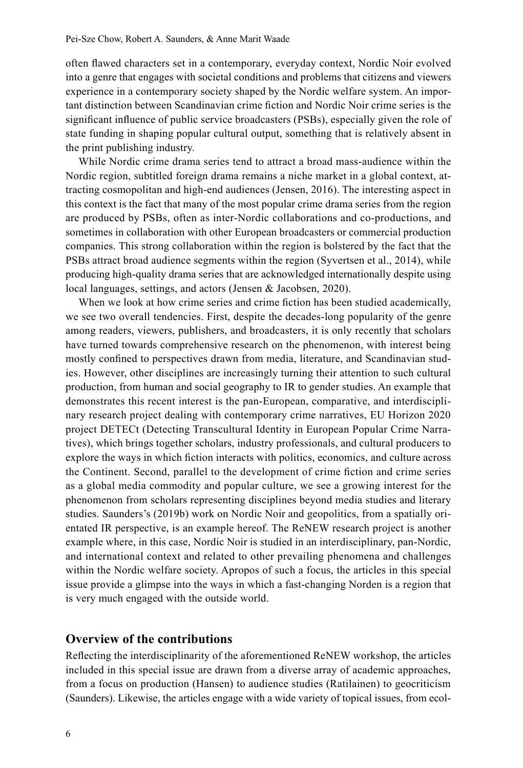often flawed characters set in a contemporary, everyday context, Nordic Noir evolved into a genre that engages with societal conditions and problems that citizens and viewers experience in a contemporary society shaped by the Nordic welfare system. An important distinction between Scandinavian crime fiction and Nordic Noir crime series is the significant influence of public service broadcasters (PSBs), especially given the role of state funding in shaping popular cultural output, something that is relatively absent in the print publishing industry.

While Nordic crime drama series tend to attract a broad mass-audience within the Nordic region, subtitled foreign drama remains a niche market in a global context, attracting cosmopolitan and high-end audiences (Jensen, 2016). The interesting aspect in this context is the fact that many of the most popular crime drama series from the region are produced by PSBs, often as inter-Nordic collaborations and co-productions, and sometimes in collaboration with other European broadcasters or commercial production companies. This strong collaboration within the region is bolstered by the fact that the PSBs attract broad audience segments within the region (Syvertsen et al., 2014), while producing high-quality drama series that are acknowledged internationally despite using local languages, settings, and actors (Jensen & Jacobsen, 2020).

When we look at how crime series and crime fiction has been studied academically, we see two overall tendencies. First, despite the decades-long popularity of the genre among readers, viewers, publishers, and broadcasters, it is only recently that scholars have turned towards comprehensive research on the phenomenon, with interest being mostly confined to perspectives drawn from media, literature, and Scandinavian studies. However, other disciplines are increasingly turning their attention to such cultural production, from human and social geography to IR to gender studies. An example that demonstrates this recent interest is the pan-European, comparative, and interdisciplinary research project dealing with contemporary crime narratives, EU Horizon 2020 project DETECt (Detecting Transcultural Identity in European Popular Crime Narratives), which brings together scholars, industry professionals, and cultural producers to explore the ways in which fiction interacts with politics, economics, and culture across the Continent. Second, parallel to the development of crime fiction and crime series as a global media commodity and popular culture, we see a growing interest for the phenomenon from scholars representing disciplines beyond media studies and literary studies. Saunders's (2019b) work on Nordic Noir and geopolitics, from a spatially orientated IR perspective, is an example hereof. The ReNEW research project is another example where, in this case, Nordic Noir is studied in an interdisciplinary, pan-Nordic, and international context and related to other prevailing phenomena and challenges within the Nordic welfare society. Apropos of such a focus, the articles in this special issue provide a glimpse into the ways in which a fast-changing Norden is a region that is very much engaged with the outside world.

#### **Overview of the contributions**

Reflecting the interdisciplinarity of the aforementioned ReNEW workshop, the articles included in this special issue are drawn from a diverse array of academic approaches, from a focus on production (Hansen) to audience studies (Ratilainen) to geocriticism (Saunders). Likewise, the articles engage with a wide variety of topical issues, from ecol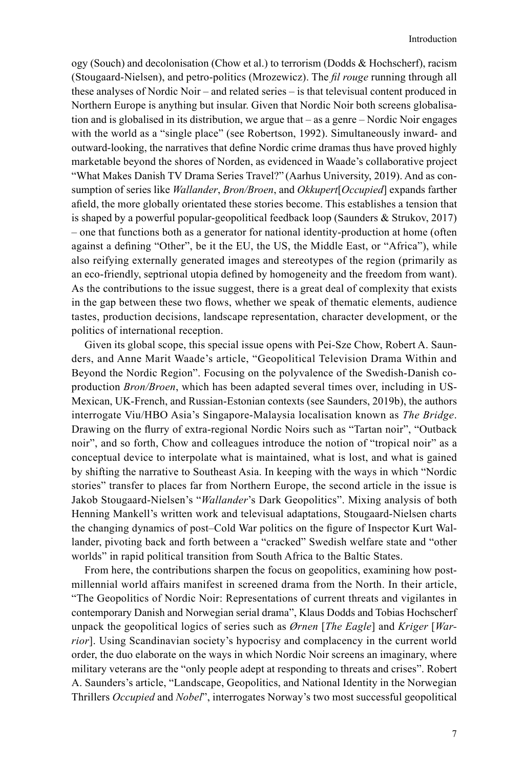ogy (Souch) and decolonisation (Chow et al.) to terrorism (Dodds & Hochscherf), racism (Stougaard-Nielsen), and petro-politics (Mrozewicz). The *fil rouge* running through all these analyses of Nordic Noir – and related series – is that televisual content produced in Northern Europe is anything but insular. Given that Nordic Noir both screens globalisation and is globalised in its distribution, we argue that – as a genre – Nordic Noir engages with the world as a "single place" (see Robertson, 1992). Simultaneously inward- and outward-looking, the narratives that define Nordic crime dramas thus have proved highly marketable beyond the shores of Norden, as evidenced in Waade's collaborative project "What Makes Danish TV Drama Series Travel?" (Aarhus University, 2019). And as consumption of series like *Wallander*, *Bron/Broen*, and *Okkupert*[*Occupied*] expands farther afield, the more globally orientated these stories become. This establishes a tension that is shaped by a powerful popular-geopolitical feedback loop (Saunders & Strukov, 2017) – one that functions both as a generator for national identity-production at home (often against a defining "Other", be it the EU, the US, the Middle East, or "Africa"), while also reifying externally generated images and stereotypes of the region (primarily as an eco-friendly, septrional utopia defined by homogeneity and the freedom from want). As the contributions to the issue suggest, there is a great deal of complexity that exists in the gap between these two flows, whether we speak of thematic elements, audience tastes, production decisions, landscape representation, character development, or the politics of international reception.

Given its global scope, this special issue opens with Pei-Sze Chow, Robert A. Saunders, and Anne Marit Waade's article, "Geopolitical Television Drama Within and Beyond the Nordic Region". Focusing on the polyvalence of the Swedish-Danish coproduction *Bron/Broen*, which has been adapted several times over, including in US-Mexican, UK-French, and Russian-Estonian contexts (see Saunders, 2019b), the authors interrogate Viu/HBO Asia's Singapore-Malaysia localisation known as *The Bridge*. Drawing on the flurry of extra-regional Nordic Noirs such as "Tartan noir", "Outback noir", and so forth, Chow and colleagues introduce the notion of "tropical noir" as a conceptual device to interpolate what is maintained, what is lost, and what is gained by shifting the narrative to Southeast Asia. In keeping with the ways in which "Nordic stories" transfer to places far from Northern Europe, the second article in the issue is Jakob Stougaard-Nielsen's "*Wallander*'s Dark Geopolitics". Mixing analysis of both Henning Mankell's written work and televisual adaptations, Stougaard-Nielsen charts the changing dynamics of post–Cold War politics on the figure of Inspector Kurt Wallander, pivoting back and forth between a "cracked" Swedish welfare state and "other worlds" in rapid political transition from South Africa to the Baltic States.

From here, the contributions sharpen the focus on geopolitics, examining how postmillennial world affairs manifest in screened drama from the North. In their article, "The Geopolitics of Nordic Noir: Representations of current threats and vigilantes in contemporary Danish and Norwegian serial drama", Klaus Dodds and Tobias Hochscherf unpack the geopolitical logics of series such as *Ørnen* [*The Eagle*] and *Kriger* [*Warrior*]. Using Scandinavian society's hypocrisy and complacency in the current world order, the duo elaborate on the ways in which Nordic Noir screens an imaginary, where military veterans are the "only people adept at responding to threats and crises". Robert A. Saunders's article, "Landscape, Geopolitics, and National Identity in the Norwegian Thrillers *Occupied* and *Nobel*", interrogates Norway's two most successful geopolitical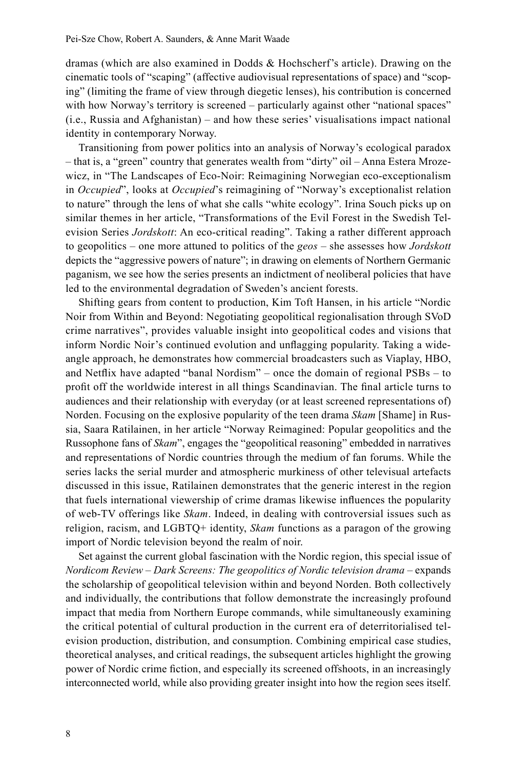dramas (which are also examined in Dodds & Hochscherf's article). Drawing on the cinematic tools of "scaping" (affective audiovisual representations of space) and "scoping" (limiting the frame of view through diegetic lenses), his contribution is concerned with how Norway's territory is screened – particularly against other "national spaces" (i.e., Russia and Afghanistan) – and how these series' visualisations impact national identity in contemporary Norway.

Transitioning from power politics into an analysis of Norway's ecological paradox – that is, a "green" country that generates wealth from "dirty" oil – Anna Estera Mrozewicz, in "The Landscapes of Eco-Noir: Reimagining Norwegian eco-exceptionalism in *Occupied*", looks at *Occupied*'s reimagining of "Norway's exceptionalist relation to nature" through the lens of what she calls "white ecology". Irina Souch picks up on similar themes in her article, "Transformations of the Evil Forest in the Swedish Television Series *Jordskott*: An eco-critical reading". Taking a rather different approach to geopolitics – one more attuned to politics of the *geos* – she assesses how *Jordskott* depicts the "aggressive powers of nature"; in drawing on elements of Northern Germanic paganism, we see how the series presents an indictment of neoliberal policies that have led to the environmental degradation of Sweden's ancient forests.

Shifting gears from content to production, Kim Toft Hansen, in his article "Nordic Noir from Within and Beyond: Negotiating geopolitical regionalisation through SVoD crime narratives", provides valuable insight into geopolitical codes and visions that inform Nordic Noir's continued evolution and unflagging popularity. Taking a wideangle approach, he demonstrates how commercial broadcasters such as Viaplay, HBO, and Netflix have adapted "banal Nordism" – once the domain of regional PSBs – to profit off the worldwide interest in all things Scandinavian. The final article turns to audiences and their relationship with everyday (or at least screened representations of) Norden. Focusing on the explosive popularity of the teen drama *Skam* [Shame] in Russia, Saara Ratilainen, in her article "Norway Reimagined: Popular geopolitics and the Russophone fans of *Skam*", engages the "geopolitical reasoning" embedded in narratives and representations of Nordic countries through the medium of fan forums. While the series lacks the serial murder and atmospheric murkiness of other televisual artefacts discussed in this issue, Ratilainen demonstrates that the generic interest in the region that fuels international viewership of crime dramas likewise influences the popularity of web-TV offerings like *Skam*. Indeed, in dealing with controversial issues such as religion, racism, and LGBTQ+ identity, *Skam* functions as a paragon of the growing import of Nordic television beyond the realm of noir.

Set against the current global fascination with the Nordic region, this special issue of *Nordicom Review* – *Dark Screens: The geopolitics of Nordic television drama –* expands the scholarship of geopolitical television within and beyond Norden. Both collectively and individually, the contributions that follow demonstrate the increasingly profound impact that media from Northern Europe commands, while simultaneously examining the critical potential of cultural production in the current era of deterritorialised television production, distribution, and consumption. Combining empirical case studies, theoretical analyses, and critical readings, the subsequent articles highlight the growing power of Nordic crime fiction, and especially its screened offshoots, in an increasingly interconnected world, while also providing greater insight into how the region sees itself.